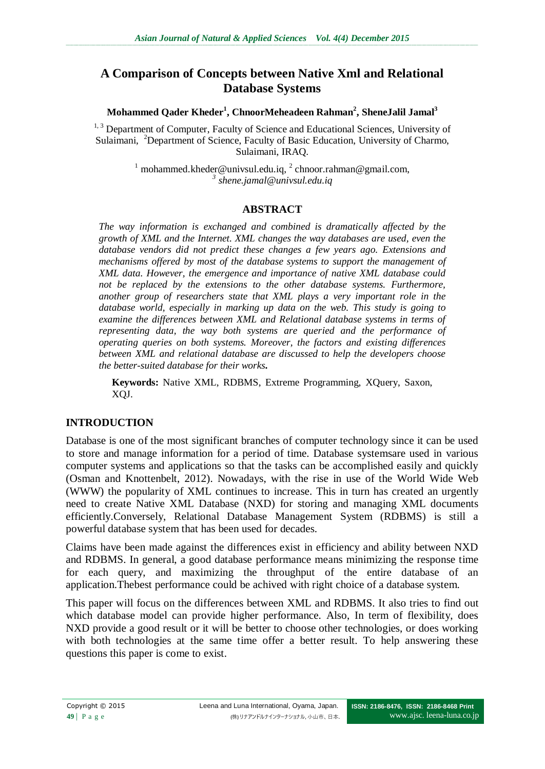# **A Comparison of Concepts between Native Xml and Relational Database Systems**

**Mohammed Qader Kheder<sup>1</sup> , ChnoorMeheadeen Rahman<sup>2</sup> , SheneJalil Jamal<sup>3</sup>**

<sup>1, 3</sup> Department of Computer, Faculty of Science and Educational Sciences, University of Sulaimani, <sup>2</sup>Department of Science, Faculty of Basic Education, University of Charmo, Sulaimani, IRAQ.

> <sup>1</sup> mohammed.kheder@univsul.edu.iq,  $^{2}$  chnoor.rahman@gmail.com, *3 shene.jamal@univsul.edu.iq*

## **ABSTRACT**

*The way information is exchanged and combined is dramatically affected by the growth of XML and the Internet. XML changes the way databases are used, even the database vendors did not predict these changes a few years ago. Extensions and mechanisms offered by most of the database systems to support the management of XML data. However, the emergence and importance of native XML database could not be replaced by the extensions to the other database systems. Furthermore, another group of researchers state that XML plays a very important role in the database world, especially in marking up data on the web. This study is going to examine the differences between XML and Relational database systems in terms of representing data, the way both systems are queried and the performance of operating queries on both systems. Moreover, the factors and existing differences between XML and relational database are discussed to help the developers choose the better-suited database for their works.*

**Keywords:** Native XML, RDBMS, Extreme Programming, XQuery, Saxon, XQJ.

## **INTRODUCTION**

Database is one of the most significant branches of computer technology since it can be used to store and manage information for a period of time. Database systemsare used in various computer systems and applications so that the tasks can be accomplished easily and quickly (Osman and Knottenbelt, 2012). Nowadays, with the rise in use of the World Wide Web (WWW) the popularity of XML continues to increase. This in turn has created an urgently need to create Native XML Database (NXD) for storing and managing XML documents efficiently.Conversely, Relational Database Management System (RDBMS) is still a powerful database system that has been used for decades.

Claims have been made against the differences exist in efficiency and ability between NXD and RDBMS. In general, a good database performance means minimizing the response time for each query, and maximizing the throughput of the entire database of an application.Thebest performance could be achived with right choice of a database system.

This paper will focus on the differences between XML and RDBMS. It also tries to find out which database model can provide higher performance. Also, In term of flexibility, does NXD provide a good result or it will be better to choose other technologies, or does working with both technologies at the same time offer a better result. To help answering these questions this paper is come to exist.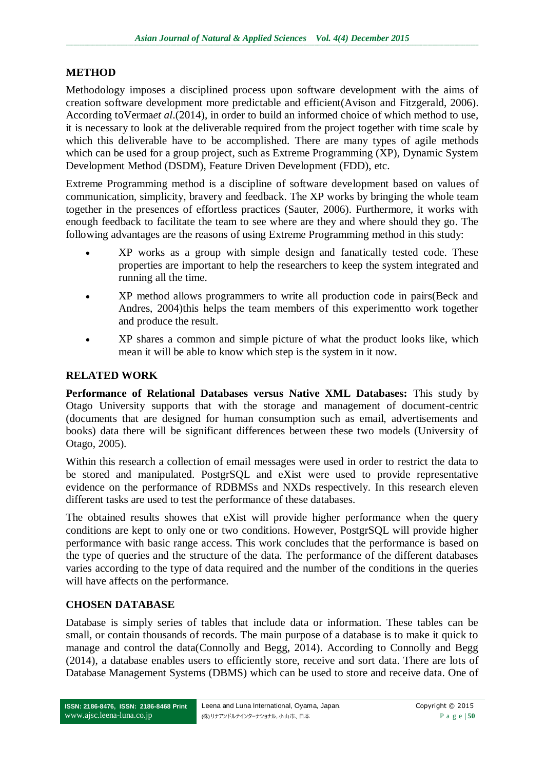#### **METHOD**

Methodology imposes a disciplined process upon software development with the aims of creation software development more predictable and efficient(Avison and Fitzgerald, 2006). According toVerma*et al*.(2014), in order to build an informed choice of which method to use, it is necessary to look at the deliverable required from the project together with time scale by which this deliverable have to be accomplished. There are many types of agile methods which can be used for a group project, such as Extreme Programming (XP), Dynamic System Development Method (DSDM), Feature Driven Development (FDD), etc.

Extreme Programming method is a discipline of software development based on values of communication, simplicity, bravery and feedback. The XP works by bringing the whole team together in the presences of effortless practices (Sauter, 2006). Furthermore, it works with enough feedback to facilitate the team to see where are they and where should they go. The following advantages are the reasons of using Extreme Programming method in this study:

- XP works as a group with simple design and fanatically tested code. These properties are important to help the researchers to keep the system integrated and running all the time.
- XP method allows programmers to write all production code in pairs(Beck and Andres, 2004)this helps the team members of this experimentto work together and produce the result.
- XP shares a common and simple picture of what the product looks like, which mean it will be able to know which step is the system in it now.

#### **RELATED WORK**

**Performance of Relational Databases versus Native XML Databases:** This study by Otago University supports that with the storage and management of document-centric (documents that are designed for human consumption such as email, advertisements and books) data there will be significant differences between these two models (University of Otago, 2005).

Within this research a collection of email messages were used in order to restrict the data to be stored and manipulated. PostgrSQL and eXist were used to provide representative evidence on the performance of RDBMSs and NXDs respectively. In this research eleven different tasks are used to test the performance of these databases.

The obtained results showes that eXist will provide higher performance when the query conditions are kept to only one or two conditions. However, PostgrSQL will provide higher performance with basic range access. This work concludes that the performance is based on the type of queries and the structure of the data. The performance of the different databases varies according to the type of data required and the number of the conditions in the queries will have affects on the performance.

#### **CHOSEN DATABASE**

Database is simply series of tables that include data or information. These tables can be small, or contain thousands of records. The main purpose of a database is to make it quick to manage and control the data(Connolly and Begg, 2014). According to Connolly and Begg (2014), a database enables users to efficiently store, receive and sort data. There are lots of Database Management Systems (DBMS) which can be used to store and receive data. One of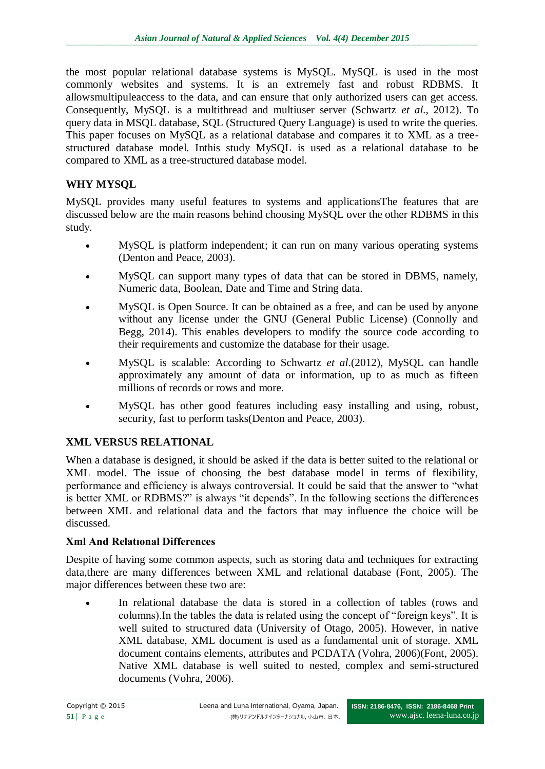the most popular relational database systems is MySQL. MySQL is used in the most commonly websites and systems. It is an extremely fast and robust RDBMS. It allowsmultipuleaccess to the data, and can ensure that only authorized users can get access. Consequently, MySQL is a multithread and multiuser server (Schwartz *et al*., 2012). To query data in MSQL database, SQL (Structured Query Language) is used to write the queries. This paper focuses on MySQL as a relational database and compares it to XML as a treestructured database model. Inthis study MySQL is used as a relational database to be compared to XML as a tree-structured database model.

# **WHY MYSQL**

MySQL provides many useful features to systems and applicationsThe features that are discussed below are the main reasons behind choosing MySQL over the other RDBMS in this study.

- MySQL is platform independent; it can run on many various operating systems (Denton and Peace, 2003).
- MySQL can support many types of data that can be stored in DBMS, namely, Numeric data, Boolean, Date and Time and String data.
- MySQL is Open Source. It can be obtained as a free, and can be used by anyone without any license under the GNU (General Public License) (Connolly and Begg, 2014). This enables developers to modify the source code according to their requirements and customize the database for their usage.
- MySQL is scalable: According to Schwartz *et al*.(2012), MySQL can handle approximately any amount of data or information, up to as much as fifteen millions of records or rows and more.
- MySQL has other good features including easy installing and using, robust, security, fast to perform tasks(Denton and Peace, 2003).

# **XML VERSUS RELATIONAL**

When a database is designed, it should be asked if the data is better suited to the relational or XML model. The issue of choosing the best database model in terms of flexibility, performance and efficiency is always controversial. It could be said that the answer to "what is better XML or RDBMS?" is always "it depends". In the following sections the differences between XML and relational data and the factors that may influence the choice will be discussed.

#### **Xml And Relatıonal Differences**

Despite of having some common aspects, such as storing data and techniques for extracting data,there are many differences between XML and relational database (Font, 2005). The major differences between these two are:

 In relational database the data is stored in a collection of tables (rows and columns).In the tables the data is related using the concept of "foreign keys". It is well suited to structured data (University of Otago, 2005). However, in native XML database, XML document is used as a fundamental unit of storage. XML document contains elements, attributes and PCDATA (Vohra, 2006)(Font, 2005). Native XML database is well suited to nested, complex and semi-structured documents (Vohra, 2006).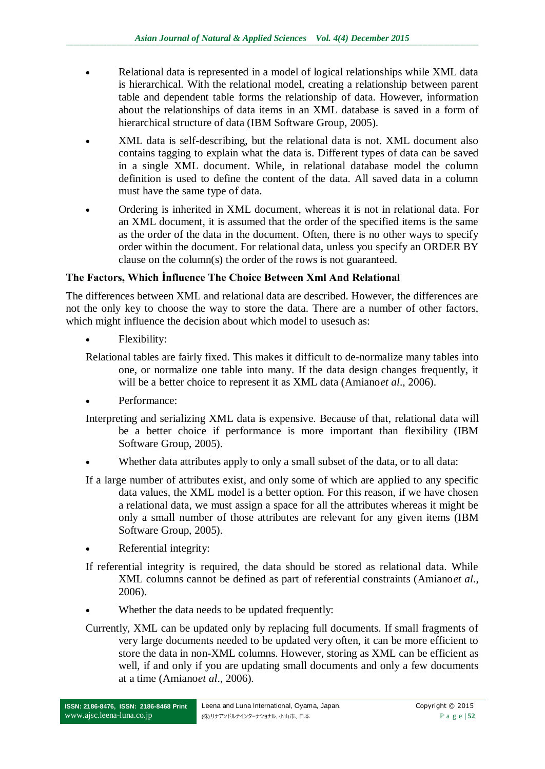- Relational data is represented in a model of logical relationships while XML data is hierarchical. With the relational model, creating a relationship between parent table and dependent table forms the relationship of data. However, information about the relationships of data items in an XML database is saved in a form of hierarchical structure of data (IBM Software Group, 2005).
- XML data is self-describing, but the relational data is not. XML document also contains tagging to explain what the data is. Different types of data can be saved in a single XML document. While, in relational database model the column definition is used to define the content of the data. All saved data in a column must have the same type of data.
- Ordering is inherited in XML document, whereas it is not in relational data. For an XML document, it is assumed that the order of the specified items is the same as the order of the data in the document. Often, there is no other ways to specify order within the document. For relational data, unless you specify an ORDER BY clause on the column(s) the order of the rows is not guaranteed.

### **The Factors, Which İnfluence The Choice Between Xml And Relational**

The differences between XML and relational data are described. However, the differences are not the only key to choose the way to store the data. There are a number of other factors, which might influence the decision about which model to use such as:

- Flexibility:
- Relational tables are fairly fixed. This makes it difficult to de-normalize many tables into one, or normalize one table into many. If the data design changes frequently, it will be a better choice to represent it as XML data (Amiano*et al*., 2006).
- Performance:
- Interpreting and serializing XML data is expensive. Because of that, relational data will be a better choice if performance is more important than flexibility (IBM Software Group, 2005).
- Whether data attributes apply to only a small subset of the data, or to all data:
- If a large number of attributes exist, and only some of which are applied to any specific data values, the XML model is a better option. For this reason, if we have chosen a relational data, we must assign a space for all the attributes whereas it might be only a small number of those attributes are relevant for any given items (IBM Software Group, 2005).
- Referential integrity:
- If referential integrity is required, the data should be stored as relational data. While XML columns cannot be defined as part of referential constraints (Amiano*et al*., 2006).
- Whether the data needs to be updated frequently:
- Currently, XML can be updated only by replacing full documents. If small fragments of very large documents needed to be updated very often, it can be more efficient to store the data in non-XML columns. However, storing as XML can be efficient as well, if and only if you are updating small documents and only a few documents at a time (Amiano*et al*., 2006).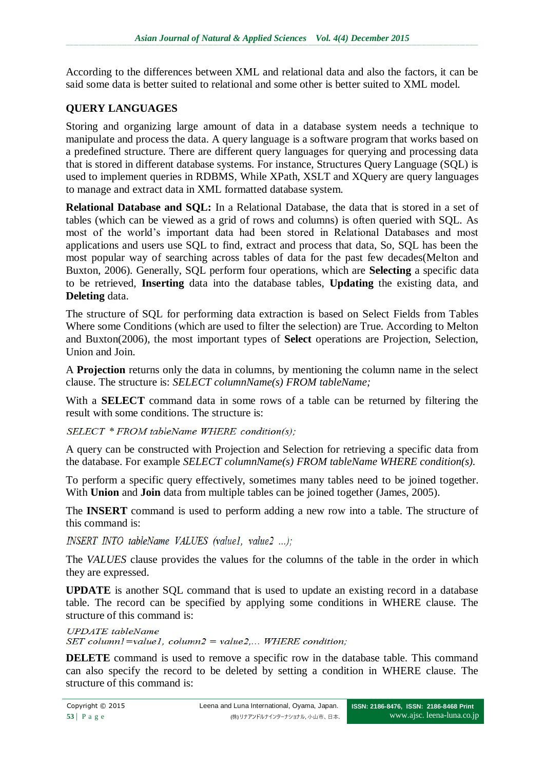According to the differences between XML and relational data and also the factors, it can be said some data is better suited to relational and some other is better suited to XML model.

# **QUERY LANGUAGES**

Storing and organizing large amount of data in a database system needs a technique to manipulate and process the data. A query language is a software program that works based on a predefined structure. There are different query languages for querying and processing data that is stored in different database systems. For instance, Structures Query Language (SQL) is used to implement queries in RDBMS, While XPath, XSLT and XQuery are query languages to manage and extract data in XML formatted database system.

**Relational Database and SQL:** In a Relational Database, the data that is stored in a set of tables (which can be viewed as a grid of rows and columns) is often queried with SQL. As most of the world's important data had been stored in Relational Databases and most applications and users use SQL to find, extract and process that data, So, SQL has been the most popular way of searching across tables of data for the past few decades(Melton and Buxton, 2006). Generally, SQL perform four operations, which are **Selecting** a specific data to be retrieved, **Inserting** data into the database tables, **Updating** the existing data, and **Deleting** data.

The structure of SQL for performing data extraction is based on Select Fields from Tables Where some Conditions (which are used to filter the selection) are True. According to Melton and Buxton(2006), the most important types of **Select** operations are Projection, Selection, Union and Join.

A **Projection** returns only the data in columns, by mentioning the column name in the select clause. The structure is: *SELECT columnName(s) FROM tableName;*

With a **SELECT** command data in some rows of a table can be returned by filtering the result with some conditions. The structure is:

SELECT \* FROM tableName WHERE condition(s);

A query can be constructed with Projection and Selection for retrieving a specific data from the database. For example *SELECT columnName(s) FROM tableName WHERE condition(s).*

To perform a specific query effectively, sometimes many tables need to be joined together. With **Union** and **Join** data from multiple tables can be joined together (James, 2005).

The **INSERT** command is used to perform adding a new row into a table. The structure of this command is:

INSERT INTO tableName VALUES (value1, value2 ...);

The *VALUES* clause provides the values for the columns of the table in the order in which they are expressed.

**UPDATE** is another SQL command that is used to update an existing record in a database table. The record can be specified by applying some conditions in WHERE clause. The structure of this command is:

**UPDATE** tableName SET column1=value1, column2 = value2,... WHERE condition:

**DELETE** command is used to remove a specific row in the database table. This command can also specify the record to be deleted by setting a condition in WHERE clause. The structure of this command is: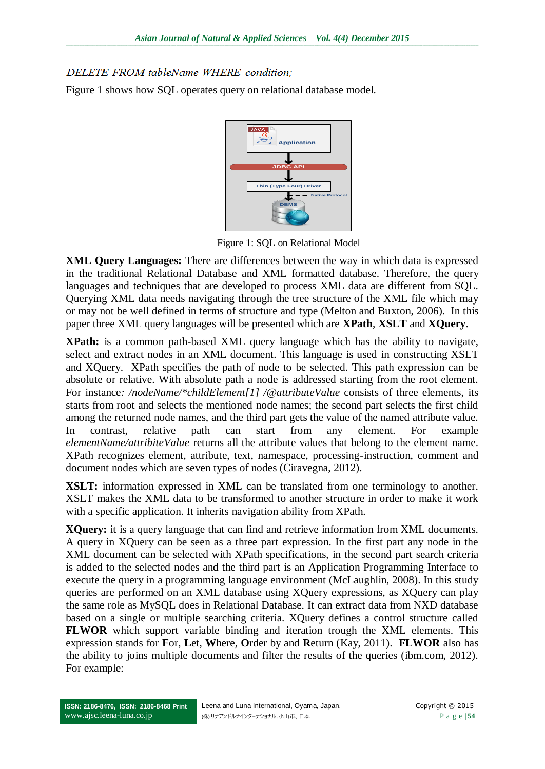# DELETE FROM tableName WHERE condition;

Figure 1 shows how SQL operates query on relational database model.



Figure 1: SQL on Relational Model

**XML Query Languages:** There are differences between the way in which data is expressed in the traditional Relational Database and XML formatted database. Therefore, the query languages and techniques that are developed to process XML data are different from SQL. Querying XML data needs navigating through the tree structure of the XML file which may or may not be well defined in terms of structure and type (Melton and Buxton, 2006). In this paper three XML query languages will be presented which are **XPath**, **XSLT** and **XQuery**.

**XPath:** is a common path-based XML query language which has the ability to navigate, select and extract nodes in an XML document. This language is used in constructing XSLT and XQuery. XPath specifies the path of node to be selected. This path expression can be absolute or relative. With absolute path a node is addressed starting from the root element. For instance*: /nodeName/\*childElement[1] /@attributeValue* consists of three elements, its starts from root and selects the mentioned node names; the second part selects the first child among the returned node names, and the third part gets the value of the named attribute value. In contrast, relative path can start from any element. For example *elementName/attribiteValue* returns all the attribute values that belong to the element name. XPath recognizes element, attribute, text, namespace, processing-instruction, comment and document nodes which are seven types of nodes (Ciravegna, 2012).

**XSLT:** information expressed in XML can be translated from one terminology to another. XSLT makes the XML data to be transformed to another structure in order to make it work with a specific application. It inherits navigation ability from XPath.

**XQuery:** it is a query language that can find and retrieve information from XML documents. A query in XQuery can be seen as a three part expression. In the first part any node in the XML document can be selected with XPath specifications, in the second part search criteria is added to the selected nodes and the third part is an Application Programming Interface to execute the query in a programming language environment (McLaughlin, 2008). In this study queries are performed on an XML database using XQuery expressions, as XQuery can play the same role as MySQL does in Relational Database. It can extract data from NXD database based on a single or multiple searching criteria. XQuery defines a control structure called **FLWOR** which support variable binding and iteration trough the XML elements. This expression stands for **F**or, **L**et, **W**here, **O**rder by and **R**eturn (Kay, 2011). **FLWOR** also has the ability to joins multiple documents and filter the results of the queries (ibm.com, 2012). For example: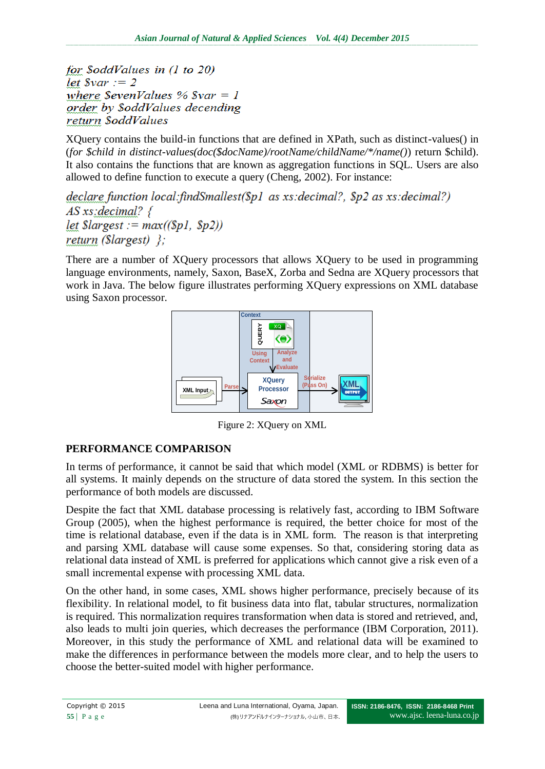for SoddValues in  $(1 to 20)$ let  $\$var := 2$ where  $SevenValues % Svar = 1$ order by \$oddValues decending return \$oddValues

XQuery contains the build-in functions that are defined in XPath, such as distinct-values() in (*for \$child in distinct-values(doc(\$docName)/rootName/childName/\*/name()*) return \$child). It also contains the functions that are known as aggregation functions in SQL. Users are also allowed to define function to execute a query (Cheng, 2002). For instance:

 $\theta$  declare function local:findSmallest(\$p1 as xs:decimal?, \$p2 as xs:decimal?)  $AS$  xs: decimal?  $\{$ let  $Slargest := max((\$pl, \$p2))$ return ( $\text{Slargest}$ ) };

There are a number of XQuery processors that allows XQuery to be used in programming language environments, namely, Saxon, BaseX, Zorba and Sedna are XQuery processors that work in Java. The below figure illustrates performing XQuery expressions on XML database using Saxon processor.



Figure 2: XQuery on XML

# **PERFORMANCE COMPARISON**

In terms of performance, it cannot be said that which model (XML or RDBMS) is better for all systems. It mainly depends on the structure of data stored the system. In this section the performance of both models are discussed.

Despite the fact that XML database processing is relatively fast, according to IBM Software Group (2005), when the highest performance is required, the better choice for most of the time is relational database, even if the data is in XML form. The reason is that interpreting and parsing XML database will cause some expenses. So that, considering storing data as relational data instead of XML is preferred for applications which cannot give a risk even of a small incremental expense with processing XML data.

On the other hand, in some cases, XML shows higher performance, precisely because of its flexibility. In relational model, to fit business data into flat, tabular structures, normalization is required. This normalization requires transformation when data is stored and retrieved, and, also leads to multi join queries, which decreases the performance (IBM Corporation, 2011). Moreover, in this study the performance of XML and relational data will be examined to make the differences in performance between the models more clear, and to help the users to choose the better-suited model with higher performance.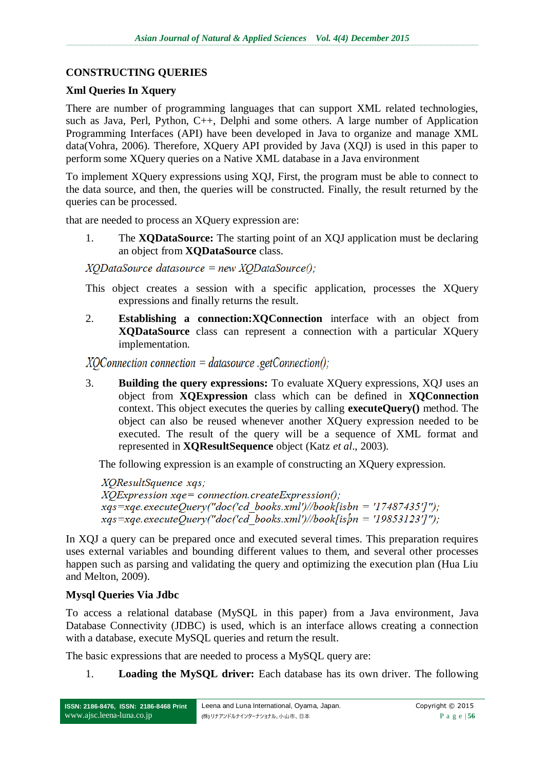### **CONSTRUCTING QUERIES**

#### **Xml Queries In Xquery**

There are number of programming languages that can support XML related technologies, such as Java, Perl, Python, C++, Delphi and some others. A large number of Application Programming Interfaces (API) have been developed in Java to organize and manage XML data(Vohra, 2006). Therefore, XQuery API provided by Java (XQJ) is used in this paper to perform some XQuery queries on a Native XML database in a Java environment

To implement XQuery expressions using XQJ, First, the program must be able to connect to the data source, and then, the queries will be constructed. Finally, the result returned by the queries can be processed.

that are needed to process an XQuery expression are:

1. The **XQDataSource:** The starting point of an XQJ application must be declaring an object from **XQDataSource** class.

 $XODa$ taSource datasource = new  $XODa$ taSource();

This object creates a session with a specific application, processes the XQuery expressions and finally returns the result.

2. **Establishing a connection:XQConnection** interface with an object from **XQDataSource** class can represent a connection with a particular XQuery implementation.

 $XOConnetion connection = data source.getConnection();$ 

3. **Building the query expressions:** To evaluate XQuery expressions, XQJ uses an object from **XQExpression** class which can be defined in **XQConnection** context. This object executes the queries by calling **executeQuery()** method. The object can also be reused whenever another XQuery expression needed to be executed. The result of the query will be a sequence of XML format and represented in **XQResultSequence** object (Katz *et al*., 2003).

The following expression is an example of constructing an XQuery expression.

XQResultSquence xqs;  $XOExpression$   $xqe=$  connection.createExpression();  $xqs = xqe.$  executeQuery("doc('cd\_books.xml')//book[isbn = '17487435']");  $xqs = xqe.$  executeQuery("doc('cd\_books.xml')//book[ispn = '19853123']");

In XQJ a query can be prepared once and executed several times. This preparation requires uses external variables and bounding different values to them, and several other processes happen such as parsing and validating the query and optimizing the execution plan (Hua Liu and Melton, 2009).

#### **Mysql Queries Via Jdbc**

To access a relational database (MySQL in this paper) from a Java environment, Java Database Connectivity (JDBC) is used, which is an interface allows creating a connection with a database, execute MySQL queries and return the result.

The basic expressions that are needed to process a MySQL query are:

1. **Loading the MySQL driver:** Each database has its own driver. The following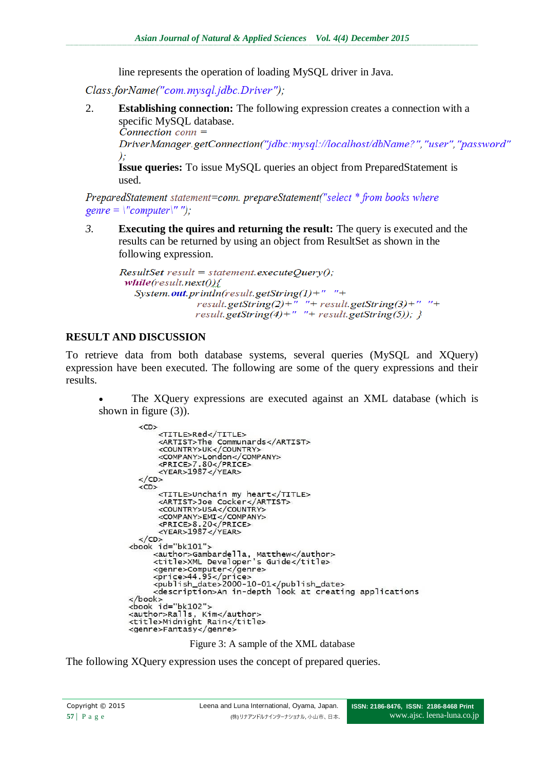line represents the operation of loading MySQL driver in Java.

Class.forName("com.mysql.jdbc.Driver");

2. **Establishing connection:** The following expression creates a connection with a specific MySQL database.<br>Connection conn  $=$ 

DriverManager.getConnection("jdbc:mysql://localhost/dbName?","user","password"  $\cdot$ 

**Issue queries:** To issue MySQL queries an object from PreparedStatement is used.

PreparedStatement statement=conn. prepareStatement("select \* from books where genre =  $\text{``computer''''}$ 

*3.* **Executing the quires and returning the result:** The query is executed and the results can be returned by using an object from ResultSet as shown in the following expression.

```
ResultSet result = statement.executeOuerv():
 while(result.next()){
   System.out.println(result.getString(1)+" "+
                result.getString(2)+" "+ result.getString(3)+" "+
                result.getString(4)+" "+ result.getString(5)); }
```
### **RESULT AND DISCUSSION**

To retrieve data from both database systems, several queries (MySQL and XQuery) expression have been executed. The following are some of the query expressions and their results.

 The XQuery expressions are executed against an XML database (which is shown in figure (3)).

```
\langle CD \rangle<TITLE>Red</TITLE>
            <TITLE>Req</TITLE><br><ARTIST>The Communards</ARTIST><br><COUNTRY>UK</COUNTRY>
            <COMPANY>London</COMPANY>
            </CD\overline{CD}<TITLE>Unchain my heart</TITLE>
            <ARTIST>Joe Cocker</ARTIST>
            <country>usa</country><br><country>usa</country><br><company>EMI</company><br><PRICE>8.20</PRICE><br><YEAR>1987</YEAR>
    \langle/CD>
<book id="bk101">
          - u_b.u.<br>-cauthor>Gambardella, Matthew</author><br>-ctitle>XML Developer's Guide</title>
          <br/>
<br/>computer</genre><br>
<pr/>computer</genre><br>
<pr/>starte> <price>44.95</price><br>
<price>44.95</price><br>
<price>44.95</price><br>
<price>44.95</price><br>
<price>44.95</price><br>
<price>44.95</price>
```
Figure 3: A sample of the XML database

The following XQuery expression uses the concept of prepared queries.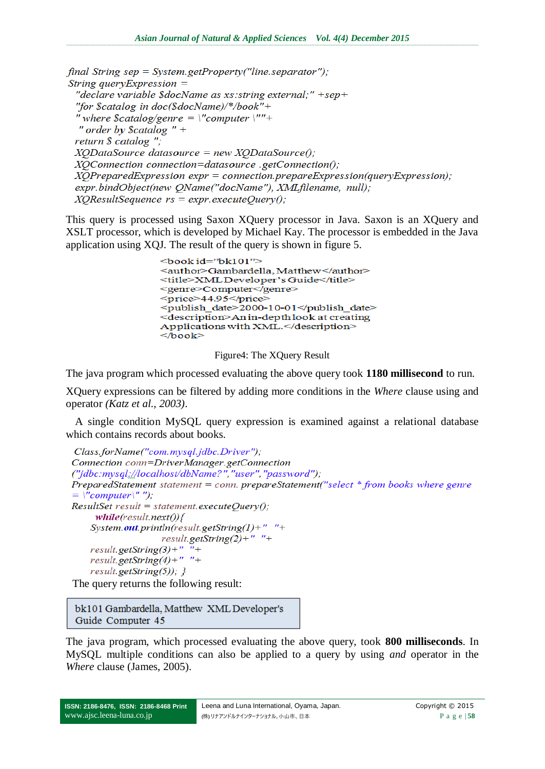final String sep = System.getProperty("line.separator"); String query Expression  $=$ "declare variable \$docName as xs: string external;" +sep+ "for \$catalog in  $doc(SdocName)/*/book" +$ "where  $\text{Scatalog}$ /genre = \"computer \""+ " order by  $\text{Scatalog}$  " + return \$ catalog ";  $XQDataSource$  datasource = new  $XQDataSource();$ XQConnection connection=datasource .getConnection();  $XOP$ reparedExpression expr = connection.prepareExpression(queryExpression); expr.bindObject(new QName("docName"), XMLfilename, null);  $XQResultSequence \; rs = expr.executeQuery();$ 

This query is processed using Saxon XQuery processor in Java. Saxon is an XQuery and XSLT processor, which is developed by Michael Kay. The processor is embedded in the Java application using XQJ. The result of the query is shown in figure 5.

```
<book id="bk101">
<author>Gambardella, Matthew</author>
<title>XMLDeveloper's Guide</title>
<genre>Computer</genre>
<price>44.95</price>
<publish date>2000-10-01</publish date>
<description>An in-depth look at creating
Applications with XML.</description>
<book>
```
Figure4: The XQuery Result

The java program which processed evaluating the above query took **1180 millisecond** to run.

XQuery expressions can be filtered by adding more conditions in the *Where* clause using and operator *(Katz et al., 2003)*.

A single condition MySQL query expression is examined against a relational database which contains records about books.

```
Class.forName("com.mysql.jdbc.Driver");
Connection conn=DriverManager.getConnection
("jdbc:mysql://localhost/dbName?", "user", "password");
PreparedStatement statement = conn. prepareStatement("select * from books where genre
= \sqrt{2} /'' computer\sqrt{2}'');
ResultSet result = statement.executeQuery();while (result.next() )System.out.println(result.getString(1)+" "+
                    result.getString(2)+" "+
    result.getString(3)+" "+
    result.getString(4)+" "+
    result.getString(5));}
The query returns the following result:
```
bk101 Gambardella, Matthew XML Developer's Guide Computer 45

The java program, which processed evaluating the above query, took **800 milliseconds**. In MySQL multiple conditions can also be applied to a query by using *and* operator in the *Where* clause (James, 2005).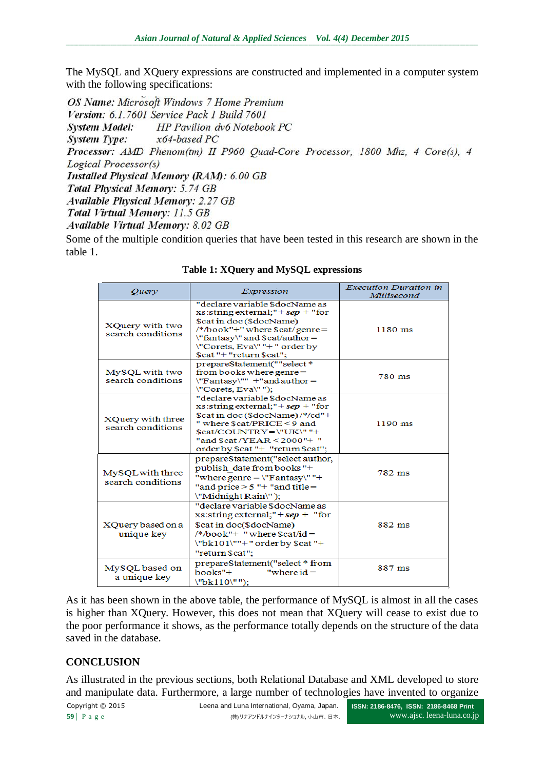The MySQL and XQuery expressions are constructed and implemented in a computer system with the following specifications:

OS Name: Microsoft Windows 7 Home Premium Version: 6.1.7601 Service Pack 1 Build 7601 **System Model:** HP Pavilion dv6 Notebook PC **System Type:**  $x64$ -based PC Processor: AMD Phenom(tm) II P960 Quad-Core Processor, 1800 Mhz, 4 Core(s), 4 Logical Processor(s) **Installed Physical Memory (RAM): 6.00 GB Total Physical Memory: 5.74 GB Available Physical Memory: 2.27 GB** Total Virtual Memory: 11.5 GB Available Virtual Memory: 8.02 GB

Some of the multiple condition queries that have been tested in this research are shown in the table 1.

| Query                                         | Expression                                                                                                                                                                                                                                         | <b>Execution Duration in</b><br>Millisecond |
|-----------------------------------------------|----------------------------------------------------------------------------------------------------------------------------------------------------------------------------------------------------------------------------------------------------|---------------------------------------------|
| XQuery with two<br>search conditions          | "declare variable \$docName as<br>xs:string external;" + $sep$ + "for<br>\$cat in doc (\$docName)<br>/*/book"+" where \$cat/genre=<br>\"fantasy\" and \$cat/author =<br>\"Corets, Eva\""+" order by<br>\$cat "+ "return \$cat";                    | $1180$ ms                                   |
| MySQL with two<br>search conditions           | prepareStatement(""select *<br>from books where genre $=$<br>$\Upsilon$ Fantasy $\Upsilon$ " +"and author =<br>\"Corets, Eva\"");                                                                                                                  | 780 ms                                      |
| <b>XQuery with three</b><br>search conditions | "declare variable \$docName as<br>xs:string external;" + $sep$ + "for<br>\$cat in doc (\$docName) /*/cd"+<br>" where \$cat/PRICE < 9 and<br>$Scat/COLINTRY = \Psi K \Psi +$<br>"and \$cat / $YEAR < 2000"$ +"<br>order by \$cat "+ "return \$cat"; | $1190$ ms                                   |
| MySQL with three<br>search conditions         | prepareStatement("select author,<br>publish date from books"+<br>"where genre = $\Upsilon$ "Fantasy $\Upsilon$ "+<br>"and price $> 5$ "+ "and title =<br>\"Midnight Rain\");                                                                       | 782 ms                                      |
| XQuery based on a<br>unique key               | "declare variable \$docName as<br>xs:string external;" + $sep$ + "for<br>\$cat in doc(\$docName)<br>$/*/book" + "where $cat/id =$<br>$\text{V}$ bk101 $\text{V}$ "+" order by \$cat "+<br>"return \$cat";                                          | 882 ms                                      |
| MySQL based on<br>a unique key                | prepareStatement("select * from<br>"where $id =$<br>$books''+$<br>\"bk110\"");                                                                                                                                                                     | 887 ms                                      |

**Table 1: XQuery and MySQL expressions**

As it has been shown in the above table, the performance of MySQL is almost in all the cases is higher than XQuery. However, this does not mean that XQuery will cease to exist due to the poor performance it shows, as the performance totally depends on the structure of the data saved in the database.

## **CONCLUSION**

As illustrated in the previous sections, both Relational Database and XML developed to store and manipulate data. Furthermore, a large number of technologies have invented to organize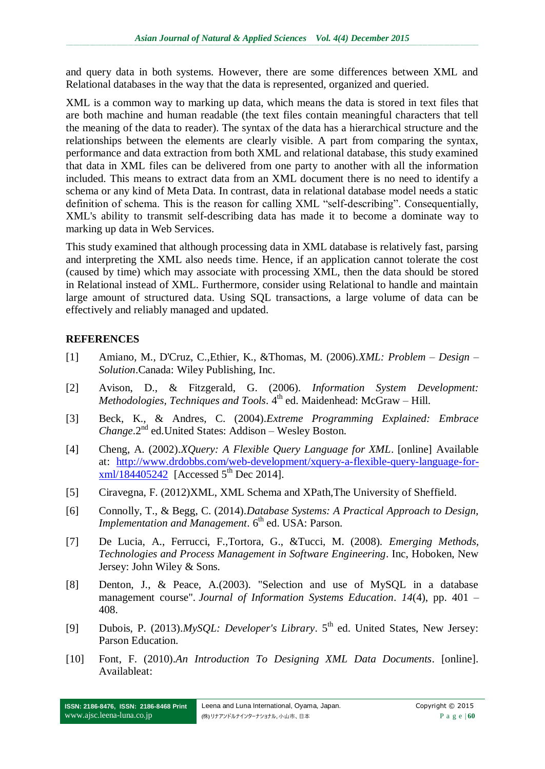and query data in both systems. However, there are some differences between XML and Relational databases in the way that the data is represented, organized and queried.

XML is a common way to marking up data, which means the data is stored in text files that are both machine and human readable (the text files contain meaningful characters that tell the meaning of the data to reader). The syntax of the data has a hierarchical structure and the relationships between the elements are clearly visible. A part from comparing the syntax, performance and data extraction from both XML and relational database, this study examined that data in XML files can be delivered from one party to another with all the information included. This means to extract data from an XML document there is no need to identify a schema or any kind of Meta Data. In contrast, data in relational database model needs a static definition of schema. This is the reason for calling XML "self-describing". Consequentially, XML's ability to transmit self-describing data has made it to become a dominate way to marking up data in Web Services.

This study examined that although processing data in XML database is relatively fast, parsing and interpreting the XML also needs time. Hence, if an application cannot tolerate the cost (caused by time) which may associate with processing XML, then the data should be stored in Relational instead of XML. Furthermore, consider using Relational to handle and maintain large amount of structured data. Using SQL transactions, a large volume of data can be effectively and reliably managed and updated.

### **REFERENCES**

- [1] Amiano, M., D'Cruz, C.,Ethier, K., &Thomas, M. (2006).*XML: Problem – Design – Solution*.Canada: Wiley Publishing, Inc.
- [2] Avison, D., & Fitzgerald, G. (2006). *Information System Development: Methodologies, Techniques and Tools.* 4<sup>th</sup> ed. Maidenhead: McGraw – Hill.
- [3] Beck, K., & Andres, C. (2004).*Extreme Programming Explained: Embrace Change*.2<sup>nd</sup> ed.United States: Addison – Wesley Boston.
- [4] Cheng, A. (2002).*XQuery: A Flexible Query Language for XML*. [online] Available at: [http://www.drdobbs.com/web-development/xquery-a-flexible-query-language-for](http://www.drdobbs.com/web-development/xquery-a-flexible-query-language-for-xml/184405242) $xml/184405242$  [Accessed 5<sup>th</sup> Dec 2014].
- [5] Ciravegna, F. (2012)XML, XML Schema and XPath,The University of Sheffield.
- [6] Connolly, T., & Begg, C. (2014).*Database Systems: A Practical Approach to Design, Implementation and Management.* 6<sup>th</sup> ed. USA: Parson.
- [7] De Lucia, A., Ferrucci, F.,Tortora, G., &Tucci, M. (2008). *Emerging Methods, Technologies and Process Management in Software Engineering*. Inc, Hoboken, New Jersey: John Wiley & Sons.
- [8] Denton, J., & Peace, A.(2003). "Selection and use of MySQL in a database management course". *Journal of Information Systems Education*. *14*(4), pp. 401 – 408.
- [9] Dubois, P. (2013).*MySOL: Developer's Library*. 5<sup>th</sup> ed. United States, New Jersey: Parson Education.
- [10] Font, F. (2010).*An Introduction To Designing XML Data Documents*. [online]. Availableat: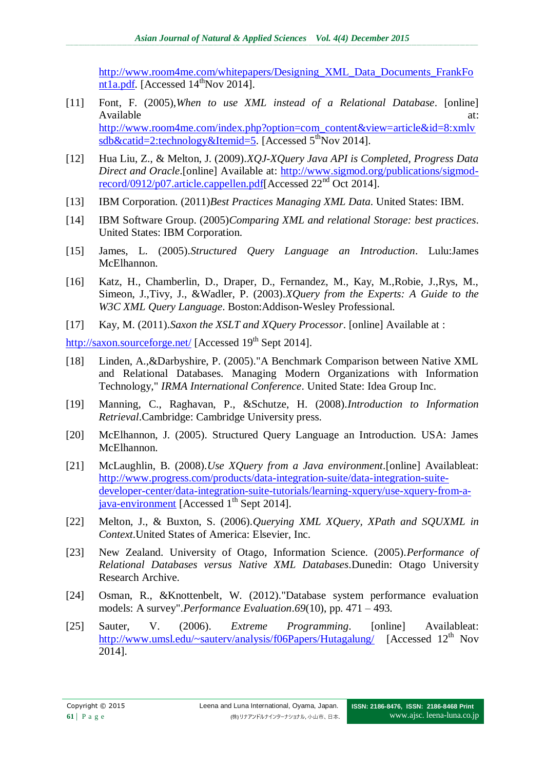[http://www.room4me.com/whitepapers/Designing\\_XML\\_Data\\_Documents\\_FrankFo](http://www.room4me.com/whitepapers/Designing_XML_Data_Documents_FrankFont1a.pdf) [nt1a.pdf.](http://www.room4me.com/whitepapers/Designing_XML_Data_Documents_FrankFont1a.pdf) [Accessed  $14^{\text{th}}$ Nov 2014].

- [11] Font, F. (2005),*When to use XML instead of a Relational Database*. [online] Available at:  $\alpha$ [http://www.room4me.com/index.php?option=com\\_content&view=article&id=8:xmlv](http://www.room4me.com/index.php?option=com_content&view=article&id=8:xmlvsdb&catid=2:technology&Itemid=5) sdb $&cati$ d=2:technology $&$ Itemid=5. [Accessed 5<sup>th</sup>Nov 2014].
- [12] Hua Liu, Z., & Melton, J. (2009).*XQJ-XQuery Java API is Completed, Progress Data Direct and Oracle*.[online] Available at: [http://www.sigmod.org/publications/sigmod](http://www.sigmod.org/publications/sigmod-record/0912/p07.article.cappellen.pdf)[record/0912/p07.article.cappellen.pdf\[](http://www.sigmod.org/publications/sigmod-record/0912/p07.article.cappellen.pdf)Accessed 22nd Oct 2014].
- [13] IBM Corporation. (2011)*Best Practices Managing XML Data*. United States: IBM.
- [14] IBM Software Group. (2005)*Comparing XML and relational Storage: best practices*. United States: IBM Corporation.
- [15] James, L. (2005).*Structured Query Language an Introduction*. Lulu:James McElhannon.
- [16] Katz, H., Chamberlin, D., Draper, D., Fernandez, M., Kay, M., Robie, J., Rys, M., Simeon, J.,Tivy, J., &Wadler, P. (2003).*XQuery from the Experts: A Guide to the W3C XML Query Language*. Boston:Addison-Wesley Professional.
- [17] Kay, M. (2011).*Saxon the XSLT and XQuery Processor*. [online] Available at :

<http://saxon.sourceforge.net/> [Accessed 19<sup>th</sup> Sept 2014].

- [18] Linden, A.,&Darbyshire, P. (2005)."A Benchmark Comparison between Native XML and Relational Databases. Managing Modern Organizations with Information Technology," *IRMA International Conference*. United State: Idea Group Inc.
- [19] Manning, C., Raghavan, P., &Schutze, H. (2008).*Introduction to Information Retrieval*.Cambridge: Cambridge University press.
- [20] McElhannon, J. (2005). Structured Query Language an Introduction. USA: James McElhannon.
- [21] [McLaughlin,](http://www.ibm.com/developerworks/xml/library/x-xjavaxquery/#author) B. (2008).*Use XQuery from a Java environment*.[online] Availableat: [http://www.progress.com/products/data-integration-suite/data-integration-suite](http://www.progress.com/products/data-integration-suite/data-integration-suite-developer-center/data-integration-suite-tutorials/learning-xquery/use-xquery-from-a-java-environment)[developer-center/data-integration-suite-tutorials/learning-xquery/use-xquery-from-a-](http://www.progress.com/products/data-integration-suite/data-integration-suite-developer-center/data-integration-suite-tutorials/learning-xquery/use-xquery-from-a-java-environment) $\frac{1}{2}$  [java-environment](http://www.progress.com/products/data-integration-suite/data-integration-suite-developer-center/data-integration-suite-tutorials/learning-xquery/use-xquery-from-a-java-environment) [Accessed 1<sup>th</sup> Sept 2014].
- [22] Melton, J., & Buxton, S. (2006).*Querying XML XQuery, XPath and SQUXML in Context*.United States of America: Elsevier, Inc.
- [23] New Zealand. University of Otago, Information Science. (2005).*Performance of Relational Databases versus Native XML Databases*.Dunedin: Otago University Research Archive.
- [24] Osman, R., &Knottenbelt, W. (2012)."Database system performance evaluation models: A survey".*Performance Evaluation*.*69*(10), pp. 471 – 493.
- [25] Sauter, V. (2006). *Extreme Programming*. [online] Availableat: http://www.umsl.edu/~sautery/analysis/f06Papers/Hutagalung/ [Accessed 12<sup>th</sup> Nov 2014].